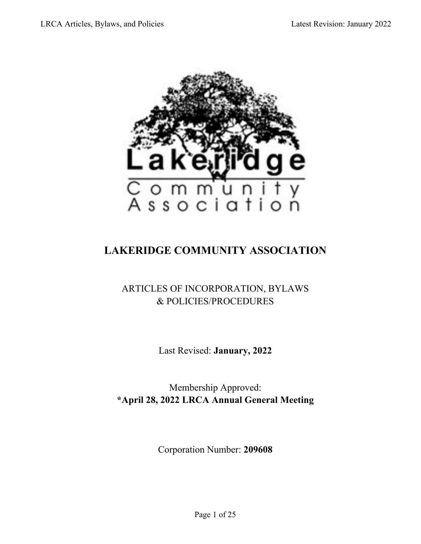

# **LAKERIDGE COMMUNITY ASSOCIATION**

# ARTICLES OF INCORPORATION, BYLAWS & POLICIES/PROCEDURES

Last Revised: **January, 2022**

Membership Approved: **\*April 28, 2022 LRCA Annual General Meeting**

Corporation Number: **209608**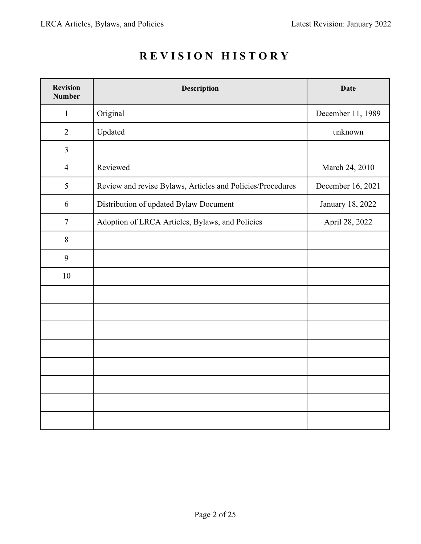| <b>Revision</b><br><b>Number</b> | <b>Description</b>                                         | <b>Date</b>       |
|----------------------------------|------------------------------------------------------------|-------------------|
| $\mathbf{1}$                     | Original                                                   | December 11, 1989 |
| $\overline{2}$                   | Updated                                                    | unknown           |
| $\mathfrak{Z}$                   |                                                            |                   |
| $\overline{4}$                   | Reviewed                                                   | March 24, 2010    |
| 5                                | Review and revise Bylaws, Articles and Policies/Procedures | December 16, 2021 |
| 6                                | Distribution of updated Bylaw Document                     | January 18, 2022  |
| $\tau$                           | Adoption of LRCA Articles, Bylaws, and Policies            | April 28, 2022    |
| $8\,$                            |                                                            |                   |
| 9                                |                                                            |                   |
| 10                               |                                                            |                   |
|                                  |                                                            |                   |
|                                  |                                                            |                   |
|                                  |                                                            |                   |
|                                  |                                                            |                   |
|                                  |                                                            |                   |
|                                  |                                                            |                   |
|                                  |                                                            |                   |
|                                  |                                                            |                   |

# **R E VISION HISTORY**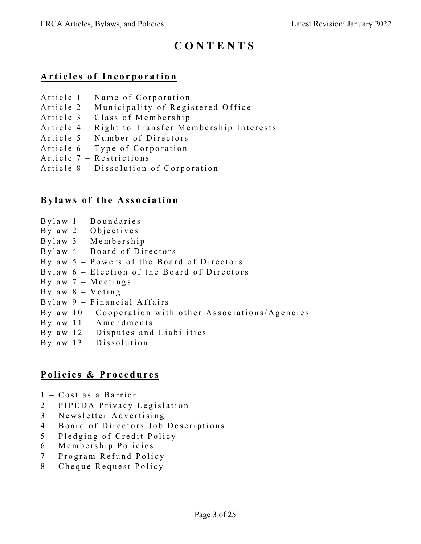# **C O N TENTS**

# **Articles of Incorporation**

- Article 1 Name of Corporation
- Article 2 Municipality of Registered Office
- Article 3 Class of Membership
- Article 4 Right to Transfer Membership Interests
- Article 5 Number of Directors
- Article 6 Type of Corporation
- Article 7 Restrictions
- Article 8 Dissolution of Corporation

# **Bylaw s of the Association**

- Bylaw 1 Boundaries
- Bylaw 2 Objectives
- Bylaw 3 Membership
- Bylaw 4 Board of Directors
- Bylaw 5 Powers of the Board of Directors
- Bylaw 6 Election of the Board of Directors
- Bylaw 7 Meetings
- Bylaw 8 Voting
- Bylaw 9 Financial Affairs
- Bylaw  $10$  Cooperation with other Associations/Agencies
- $Bylaw 11 Amendments$
- Bylaw  $12$  Disputes and Liabilities
- $By law 13 Dissolution$

# **Policies & Procedures**

- 1 Cost as a Barrier
- 2 PIPEDA Privacy Legislation
- 3 Newsletter Advertising
- 4 Board of Directors Job Descriptions
- 5 Pledging of Credit Policy
- 6 Membership Policies
- 7 Program Refund Policy
- 8 Cheque Request Policy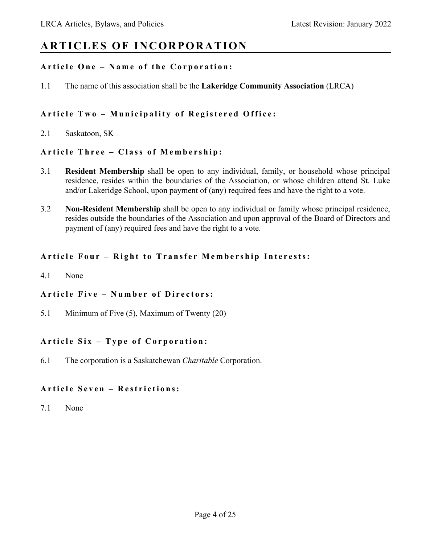# **ARTICLES OF INCORPORATION**

# **Article One – Name of the Corporation:**

1.1 The name of this association shall be the **Lakeridge Community Association** (LRCA)

# **Article Two – Municipality of Registered Office:**

2.1 Saskatoon, SK

# **Article Three – Class of Membership:**

- 3.1 **Resident Membership** shall be open to any individual, family, or household whose principal residence, resides within the boundaries of the Association, or whose children attend St. Luke and/or Lakeridge School, upon payment of (any) required fees and have the right to a vote.
- 3.2 **Non-Resident Membership** shall be open to any individual or family whose principal residence, resides outside the boundaries of the Association and upon approval of the Board of Directors and payment of (any) required fees and have the right to a vote.

# **Article Four – Right to Transfer Membership Interests:**

4.1 None

# **Article Five – Number of Directors:**

5.1 Minimum of Five (5), Maximum of Twenty (20)

# **Article Six – Type of Corporation:**

6.1 The corporation is a Saskatchewan *Charitable* Corporation.

# **Article Seven – Restrictions:**

7.1 None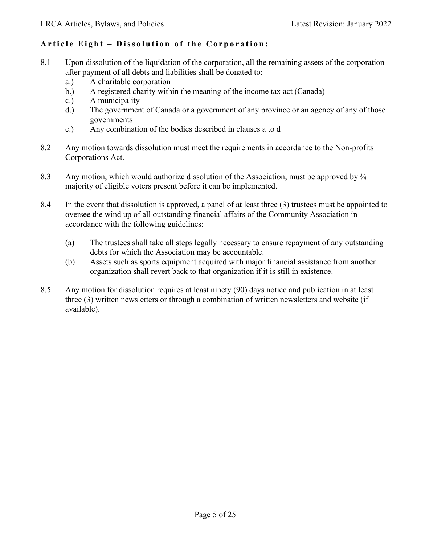# **Article Eight – Dissolution of the Corporation:**

- 8.1 Upon dissolution of the liquidation of the corporation, all the remaining assets of the corporation after payment of all debts and liabilities shall be donated to:
	- a.) A charitable corporation
	- b.) A registered charity within the meaning of the income tax act (Canada)
	- c.) A municipality
	- d.) The government of Canada or a government of any province or an agency of any of those governments
	- e.) Any combination of the bodies described in clauses a to d
- 8.2 Any motion towards dissolution must meet the requirements in accordance to the Non-profits Corporations Act.
- 8.3 Any motion, which would authorize dissolution of the Association, must be approved by  $\frac{3}{4}$ majority of eligible voters present before it can be implemented.
- 8.4 In the event that dissolution is approved, a panel of at least three (3) trustees must be appointed to oversee the wind up of all outstanding financial affairs of the Community Association in accordance with the following guidelines:
	- (a) The trustees shall take all steps legally necessary to ensure repayment of any outstanding debts for which the Association may be accountable.
	- (b) Assets such as sports equipment acquired with major financial assistance from another organization shall revert back to that organization if it is still in existence.
- 8.5 Any motion for dissolution requires at least ninety (90) days notice and publication in at least three (3) written newsletters or through a combination of written newsletters and website (if available).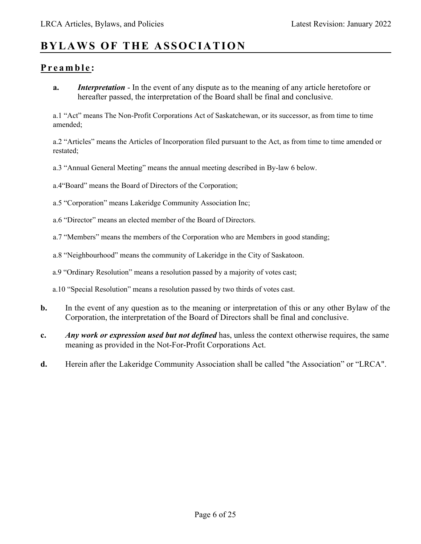# **BYLAWS OF THE ASSOCIATION**

# **Preamble :**

**a.** *Interpretation* - In the event of any dispute as to the meaning of any article heretofore or hereafter passed, the interpretation of the Board shall be final and conclusive.

a.1 "Act" means The Non-Profit Corporations Act of Saskatchewan, or its successor, as from time to time amended;

a.2 "Articles" means the Articles of Incorporation filed pursuant to the Act, as from time to time amended or restated;

a.3 "Annual General Meeting" means the annual meeting described in By-law 6 below.

a.4"Board" means the Board of Directors of the Corporation;

a.5 "Corporation" means Lakeridge Community Association Inc;

a.6 "Director" means an elected member of the Board of Directors.

a.7 "Members" means the members of the Corporation who are Members in good standing;

a.8 "Neighbourhood" means the community of Lakeridge in the City of Saskatoon.

a.9 "Ordinary Resolution" means a resolution passed by a majority of votes cast;

a.10 "Special Resolution" means a resolution passed by two thirds of votes cast.

- **b.** In the event of any question as to the meaning or interpretation of this or any other Bylaw of the Corporation, the interpretation of the Board of Directors shall be final and conclusive.
- **c.** *Any work or expression used but not defined* has, unless the context otherwise requires, the same meaning as provided in the Not-For-Profit Corporations Act.
- **d.** Herein after the Lakeridge Community Association shall be called "the Association" or "LRCA".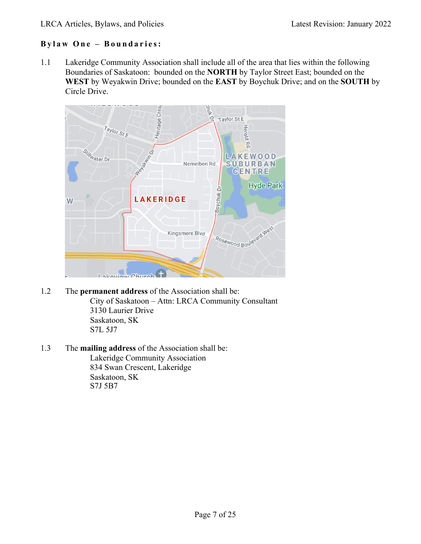# **Bylaw One – Boundaries:**

1.1 Lakeridge Community Association shall include all of the area that lies within the following Boundaries of Saskatoon: bounded on the **NORTH** by Taylor Street East; bounded on the **WEST** by Weyakwin Drive; bounded on the **EAST** by Boychuk Drive; and on the **SOUTH** by Circle Drive.



- 1.2 The **permanent address** of the Association shall be: City of Saskatoon – Attn: LRCA Community Consultant 3130 Laurier Drive Saskatoon, SK S7L 5J7
- 1.3 The **mailing address** of the Association shall be: Lakeridge Community Association 834 Swan Crescent, Lakeridge Saskatoon, SK S7J 5B7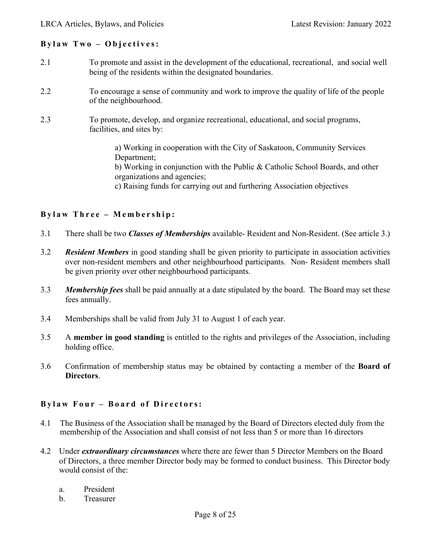#### **Bylaw Two – Objectives:**

- 2.1 To promote and assist in the development of the educational, recreational, and social well being of the residents within the designated boundaries.
- 2.2 To encourage a sense of community and work to improve the quality of life of the people of the neighbourhood.
- 2.3 To promote, develop, and organize recreational, educational, and social programs, facilities, and sites by:

a) Working in cooperation with the City of Saskatoon, Community Services Department;

b) Working in conjunction with the Public & Catholic School Boards, and other organizations and agencies;

c) Raising funds for carrying out and furthering Association objectives

#### **Bylaw Three – Membership :**

- 3.1 There shall be two *Classes of Memberships* available- Resident and Non-Resident. (See article 3.)
- 3.2 *Resident Members* in good standing shall be given priority to participate in association activities over non-resident members and other neighbourhood participants. Non- Resident members shall be given priority over other neighbourhood participants.
- 3.3 *Membership fees* shall be paid annually at a date stipulated by the board. The Board may set these fees annually.
- 3.4 Memberships shall be valid from July 31 to August 1 of each year.
- 3.5 A **member in good standing** is entitled to the rights and privileges of the Association, including holding office.
- 3.6 Confirmation of membership status may be obtained by contacting a member of the **Board of Directors**.

#### **Bylaw Four – Board of Directors:**

- 4.1 The Business of the Association shall be managed by the Board of Directors elected duly from the membership of the Association and shall consist of not less than 5 or more than 16 directors
- 4.2 Under *extraordinary circumstances* where there are fewer than 5 Director Members on the Board of Directors, a three member Director body may be formed to conduct business. This Director body would consist of the:
	- a. President
	- b. Treasurer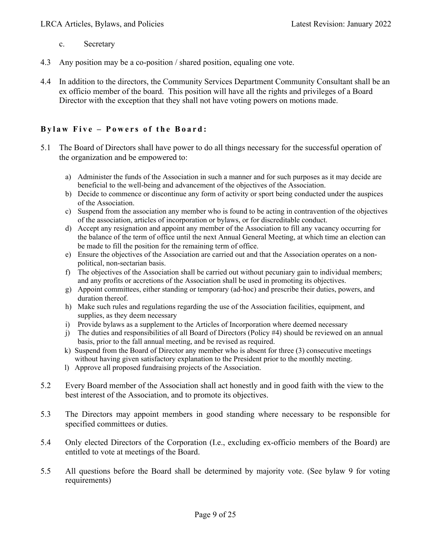- c. Secretary
- 4.3 Any position may be a co-position / shared position, equaling one vote.
- 4.4 In addition to the directors, the Community Services Department Community Consultant shall be an ex officio member of the board. This position will have all the rights and privileges of a Board Director with the exception that they shall not have voting powers on motions made.

# **Bylaw Five – Powers of the Board :**

- 5.1 The Board of Directors shall have power to do all things necessary for the successful operation of the organization and be empowered to:
	- a) Administer the funds of the Association in such a manner and for such purposes as it may decide are beneficial to the well-being and advancement of the objectives of the Association.
	- b) Decide to commence or discontinue any form of activity or sport being conducted under the auspices of the Association.
	- c) Suspend from the association any member who is found to be acting in contravention of the objectives of the association, articles of incorporation or bylaws, or for discreditable conduct.
	- d) Accept any resignation and appoint any member of the Association to fill any vacancy occurring for the balance of the term of office until the next Annual General Meeting, at which time an election can be made to fill the position for the remaining term of office.
	- e) Ensure the objectives of the Association are carried out and that the Association operates on a nonpolitical, non-sectarian basis.
	- f) The objectives of the Association shall be carried out without pecuniary gain to individual members; and any profits or accretions of the Association shall be used in promoting its objectives.
	- g) Appoint committees, either standing or temporary (ad-hoc) and prescribe their duties, powers, and duration thereof.
	- h) Make such rules and regulations regarding the use of the Association facilities, equipment, and supplies, as they deem necessary
	- i) Provide bylaws as a supplement to the Articles of Incorporation where deemed necessary
	- j) The duties and responsibilities of all Board of Directors (Policy #4) should be reviewed on an annual basis, prior to the fall annual meeting, and be revised as required.
	- k) Suspend from the Board of Director any member who is absent for three (3) consecutive meetings without having given satisfactory explanation to the President prior to the monthly meeting.
	- l) Approve all proposed fundraising projects of the Association.
- 5.2 Every Board member of the Association shall act honestly and in good faith with the view to the best interest of the Association, and to promote its objectives.
- 5.3 The Directors may appoint members in good standing where necessary to be responsible for specified committees or duties.
- 5.4 Only elected Directors of the Corporation (I.e., excluding ex-officio members of the Board) are entitled to vote at meetings of the Board.
- 5.5 All questions before the Board shall be determined by majority vote. (See bylaw 9 for voting requirements)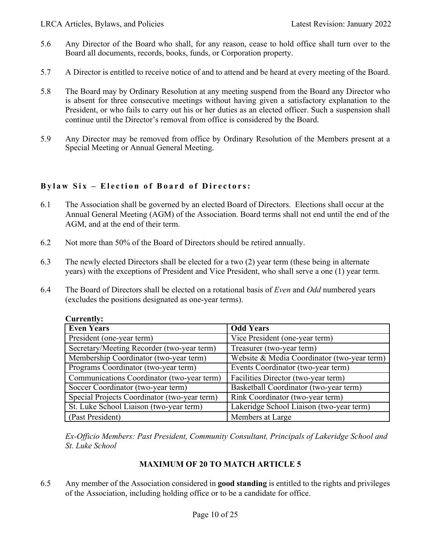- 5.6 Any Director of the Board who shall, for any reason, cease to hold office shall turn over to the Board all documents, records, books, funds, or Corporation property.
- 5.7 A Director is entitled to receive notice of and to attend and be heard at every meeting of the Board.
- 5.8 The Board may by Ordinary Resolution at any meeting suspend from the Board any Director who is absent for three consecutive meetings without having given a satisfactory explanation to the President, or who fails to carry out his or her duties as an elected officer. Such a suspension shall continue until the Director's removal from office is considered by the Board.
- 5.9 Any Director may be removed from office by Ordinary Resolution of the Members present at a Special Meeting or Annual General Meeting.

# **Bylaw Six – Election of Board of Directors:**

- 6.1 The Association shall be governed by an elected Board of Directors. Elections shall occur at the Annual General Meeting (AGM) of the Association. Board terms shall not end until the end of the AGM, and at the end of their term.
- 6.2 Not more than 50% of the Board of Directors should be retired annually.
- 6.3 The newly elected Directors shall be elected for a two (2) year term (these being in alternate years) with the exceptions of President and Vice President, who shall serve a one (1) year term.
- 6.4 The Board of Directors shall be elected on a rotational basis of *Even* and *Odd* numbered years (excludes the positions designated as one-year terms).

| <b>Even Years</b>                            | <b>Odd Years</b>                            |  |
|----------------------------------------------|---------------------------------------------|--|
| President (one-year term)                    | Vice President (one-year term)              |  |
| Secretary/Meeting Recorder (two-year term)   | Treasurer (two-year term)                   |  |
| Membership Coordinator (two-year term)       | Website & Media Coordinator (two-year term) |  |
| Programs Coordinator (two-year term)         | Events Coordinator (two-year term)          |  |
| Communications Coordinator (two-year term)   | Facilities Director (two-year term)         |  |
| Soccer Coordinator (two-year term)           | Basketball Coordinator (two-year term)      |  |
| Special Projects Coordinator (two-year term) | Rink Coordinator (two-year term)            |  |
| St. Luke School Liaison (two-year term)      | Lakeridge School Liaison (two-year term)    |  |
| (Past President)                             | Members at Large                            |  |

#### **Currently:**

*Ex-Officio Members: Past President, Community Consultant, Principals of Lakeridge School and St. Luke School*

# **MAXIMUM OF 20 TO MATCH ARTICLE 5**

6.5 Any member of the Association considered in **good standing** is entitled to the rights and privileges of the Association, including holding office or to be a candidate for office.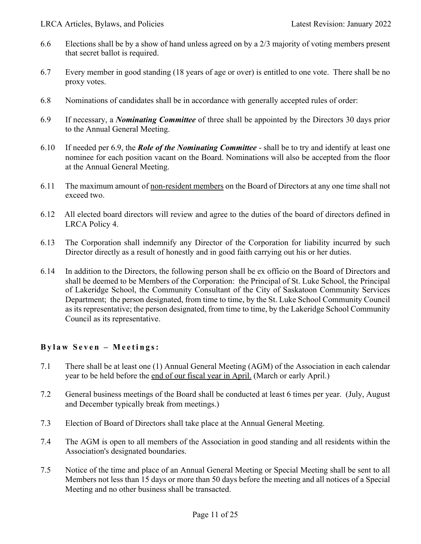- 6.6 Elections shall be by a show of hand unless agreed on by a 2/3 majority of voting members present that secret ballot is required.
- 6.7 Every member in good standing (18 years of age or over) is entitled to one vote. There shall be no proxy votes.
- 6.8 Nominations of candidates shall be in accordance with generally accepted rules of order:
- 6.9 If necessary, a *Nominating Committee* of three shall be appointed by the Directors 30 days prior to the Annual General Meeting.
- 6.10 If needed per 6.9, the *Role of the Nominating Committee* shall be to try and identify at least one nominee for each position vacant on the Board. Nominations will also be accepted from the floor at the Annual General Meeting.
- 6.11 The maximum amount of non-resident members on the Board of Directors at any one time shall not exceed two.
- 6.12 All elected board directors will review and agree to the duties of the board of directors defined in LRCA Policy 4.
- 6.13 The Corporation shall indemnify any Director of the Corporation for liability incurred by such Director directly as a result of honestly and in good faith carrying out his or her duties.
- 6.14 In addition to the Directors, the following person shall be ex officio on the Board of Directors and shall be deemed to be Members of the Corporation: the Principal of St. Luke School, the Principal of Lakeridge School, the Community Consultant of the City of Saskatoon Community Services Department; the person designated, from time to time, by the St. Luke School Community Council as its representative; the person designated, from time to time, by the Lakeridge School Community Council as its representative.

# **Bylaw Seven – Meetings:**

- 7.1 There shall be at least one (1) Annual General Meeting (AGM) of the Association in each calendar year to be held before the end of our fiscal year in April. (March or early April.)
- 7.2 General business meetings of the Board shall be conducted at least 6 times per year. (July, August and December typically break from meetings.)
- 7.3 Election of Board of Directors shall take place at the Annual General Meeting.
- 7.4 The AGM is open to all members of the Association in good standing and all residents within the Association's designated boundaries.
- 7.5 Notice of the time and place of an Annual General Meeting or Special Meeting shall be sent to all Members not less than 15 days or more than 50 days before the meeting and all notices of a Special Meeting and no other business shall be transacted.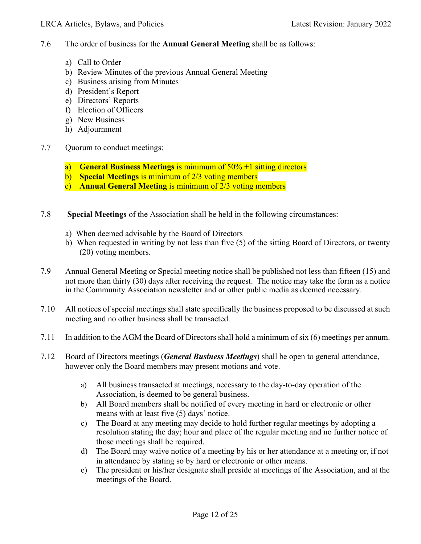- 7.6 The order of business for the **Annual General Meeting** shall be as follows:
	- a) Call to Order
	- b) Review Minutes of the previous Annual General Meeting
	- c) Business arising from Minutes
	- d) President's Report
	- e) Directors' Reports
	- f) Election of Officers
	- g) New Business
	- h) Adjournment
- 7.7 Quorum to conduct meetings:
	- a) **General Business Meetings** is minimum of 50% +1 sitting directors
	- b) **Special Meetings** is minimum of 2/3 voting members
	- c) **Annual General Meeting** is minimum of 2/3 voting members
- 7.8 **Special Meetings** of the Association shall be held in the following circumstances:
	- a) When deemed advisable by the Board of Directors
	- b) When requested in writing by not less than five (5) of the sitting Board of Directors, or twenty (20) voting members.
- 7.9 Annual General Meeting or Special meeting notice shall be published not less than fifteen (15) and not more than thirty (30) days after receiving the request. The notice may take the form as a notice in the Community Association newsletter and or other public media as deemed necessary.
- 7.10 All notices of special meetings shall state specifically the business proposed to be discussed at such meeting and no other business shall be transacted.
- 7.11 In addition to the AGM the Board of Directors shall hold a minimum of six (6) meetings per annum.
- 7.12 Board of Directors meetings (*General Business Meetings*) shall be open to general attendance, however only the Board members may present motions and vote.
	- a) All business transacted at meetings, necessary to the day-to-day operation of the Association, is deemed to be general business.
	- b) All Board members shall be notified of every meeting in hard or electronic or other means with at least five (5) days' notice.
	- c) The Board at any meeting may decide to hold further regular meetings by adopting a resolution stating the day; hour and place of the regular meeting and no further notice of those meetings shall be required.
	- d) The Board may waive notice of a meeting by his or her attendance at a meeting or, if not in attendance by stating so by hard or electronic or other means.
	- e) The president or his/her designate shall preside at meetings of the Association, and at the meetings of the Board.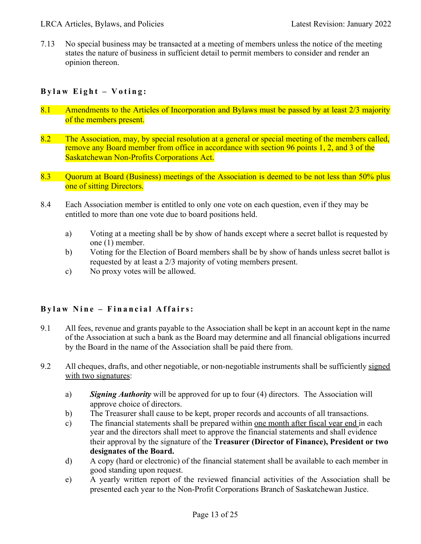7.13 No special business may be transacted at a meeting of members unless the notice of the meeting states the nature of business in sufficient detail to permit members to consider and render an opinion thereon.

# **Bylaw Eight – Voting:**

- 8.1 Amendments to the Articles of Incorporation and Bylaws must be passed by at least 2/3 majority of the members present.
- 8.2 The Association, may, by special resolution at a general or special meeting of the members called, remove any Board member from office in accordance with section 96 points 1, 2, and 3 of the Saskatchewan Non-Profits Corporations Act.
- 8.3 Quorum at Board (Business) meetings of the Association is deemed to be not less than 50% plus one of sitting Directors.
- 8.4 Each Association member is entitled to only one vote on each question, even if they may be entitled to more than one vote due to board positions held.
	- a) Voting at a meeting shall be by show of hands except where a secret ballot is requested by one (1) member.
	- b) Voting for the Election of Board members shall be by show of hands unless secret ballot is requested by at least a 2/3 majority of voting members present.
	- c) No proxy votes will be allowed.

# **Bylaw Nine – Financial Affairs:**

- 9.1 All fees, revenue and grants payable to the Association shall be kept in an account kept in the name of the Association at such a bank as the Board may determine and all financial obligations incurred by the Board in the name of the Association shall be paid there from.
- 9.2 All cheques, drafts, and other negotiable, or non-negotiable instruments shall be sufficiently signed with two signatures:
	- a) *Signing Authority* will be approved for up to four (4) directors. The Association will approve choice of directors.
	- b) The Treasurer shall cause to be kept, proper records and accounts of all transactions.
	- c) The financial statements shall be prepared within one month after fiscal year end in each year and the directors shall meet to approve the financial statements and shall evidence their approval by the signature of the **Treasurer (Director of Finance), President or two designates of the Board.**
	- d) A copy (hard or electronic) of the financial statement shall be available to each member in good standing upon request.
	- e) A yearly written report of the reviewed financial activities of the Association shall be presented each year to the Non-Profit Corporations Branch of Saskatchewan Justice.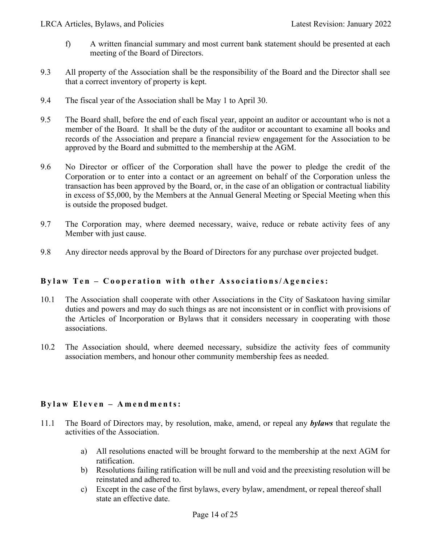- f) A written financial summary and most current bank statement should be presented at each meeting of the Board of Directors.
- 9.3 All property of the Association shall be the responsibility of the Board and the Director shall see that a correct inventory of property is kept.
- 9.4 The fiscal year of the Association shall be May 1 to April 30.
- 9.5 The Board shall, before the end of each fiscal year, appoint an auditor or accountant who is not a member of the Board. It shall be the duty of the auditor or accountant to examine all books and records of the Association and prepare a financial review engagement for the Association to be approved by the Board and submitted to the membership at the AGM.
- 9.6 No Director or officer of the Corporation shall have the power to pledge the credit of the Corporation or to enter into a contact or an agreement on behalf of the Corporation unless the transaction has been approved by the Board, or, in the case of an obligation or contractual liability in excess of \$5,000, by the Members at the Annual General Meeting or Special Meeting when this is outside the proposed budget.
- 9.7 The Corporation may, where deemed necessary, waive, reduce or rebate activity fees of any Member with just cause.
- 9.8 Any director needs approval by the Board of Directors for any purchase over projected budget.

#### **Bylaw Ten – Cooperation with other Associations/Agencies:**

- 10.1 The Association shall cooperate with other Associations in the City of Saskatoon having similar duties and powers and may do such things as are not inconsistent or in conflict with provisions of the Articles of Incorporation or Bylaws that it considers necessary in cooperating with those associations.
- 10.2 The Association should, where deemed necessary, subsidize the activity fees of community association members, and honour other community membership fees as needed.

# **Bylaw Eleven – Amendments:**

- 11.1 The Board of Directors may, by resolution, make, amend, or repeal any *bylaws* that regulate the activities of the Association.
	- a) All resolutions enacted will be brought forward to the membership at the next AGM for ratification.
	- b) Resolutions failing ratification will be null and void and the preexisting resolution will be reinstated and adhered to.
	- c) Except in the case of the first bylaws, every bylaw, amendment, or repeal thereof shall state an effective date.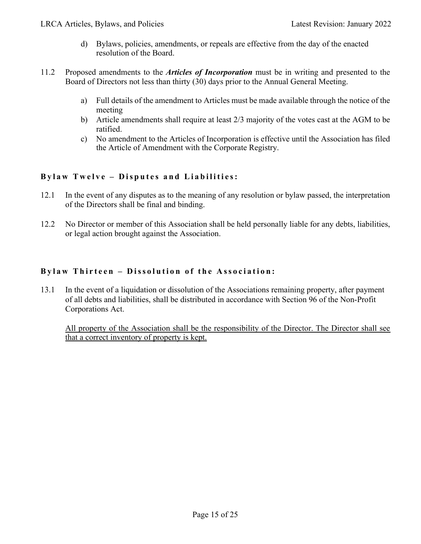- d) Bylaws, policies, amendments, or repeals are effective from the day of the enacted resolution of the Board.
- 11.2 Proposed amendments to the *Articles of Incorporation* must be in writing and presented to the Board of Directors not less than thirty (30) days prior to the Annual General Meeting.
	- a) Full details of the amendment to Articles must be made available through the notice of the meeting
	- b) Article amendments shall require at least 2/3 majority of the votes cast at the AGM to be ratified.
	- c) No amendment to the Articles of Incorporation is effective until the Association has filed the Article of Amendment with the Corporate Registry.

# **Bylaw T welve – Disputes and Liabilities:**

- 12.1 In the event of any disputes as to the meaning of any resolution or bylaw passed, the interpretation of the Directors shall be final and binding.
- 12.2 No Director or member of this Association shall be held personally liable for any debts, liabilities, or legal action brought against the Association.

# **Bylaw Thir teen – Dissolution of the Association :**

13.1 In the event of a liquidation or dissolution of the Associations remaining property, after payment of all debts and liabilities, shall be distributed in accordance with Section 96 of the Non-Profit Corporations Act.

All property of the Association shall be the responsibility of the Director. The Director shall see that a correct inventory of property is kept.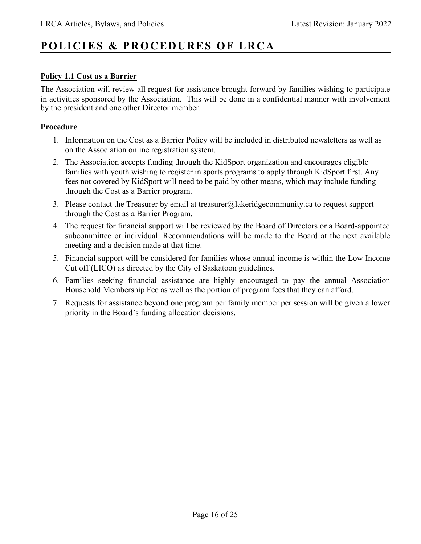# **POLICIES & PROCEDURES OF LRCA**

# **Policy 1.1 Cost as a Barrier**

The Association will review all request for assistance brought forward by families wishing to participate in activities sponsored by the Association. This will be done in a confidential manner with involvement by the president and one other Director member.

#### **Procedure**

- 1. Information on the Cost as a Barrier Policy will be included in distributed newsletters as well as on the Association online registration system.
- 2. The Association accepts funding through the KidSport organization and encourages eligible families with youth wishing to register in sports programs to apply through KidSport first. Any fees not covered by KidSport will need to be paid by other means, which may include funding through the Cost as a Barrier program.
- 3. Please contact the Treasurer by email at treasurer@lakeridgecommunity.ca to request support through the Cost as a Barrier Program.
- 4. The request for financial support will be reviewed by the Board of Directors or a Board-appointed subcommittee or individual. Recommendations will be made to the Board at the next available meeting and a decision made at that time.
- 5. Financial support will be considered for families whose annual income is within the Low Income Cut off (LICO) as directed by the City of Saskatoon guidelines.
- 6. Families seeking financial assistance are highly encouraged to pay the annual Association Household Membership Fee as well as the portion of program fees that they can afford.
- 7. Requests for assistance beyond one program per family member per session will be given a lower priority in the Board's funding allocation decisions.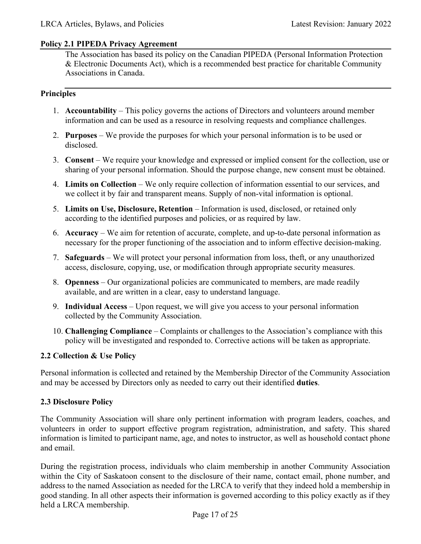#### **Policy 2.1 PIPEDA Privacy Agreement**

The Association has based its policy on the Canadian PIPEDA (Personal Information Protection & Electronic Documents Act), which is a recommended best practice for charitable Community Associations in Canada.

#### **Principles**

- 1. **Accountability** This policy governs the actions of Directors and volunteers around member information and can be used as a resource in resolving requests and compliance challenges.
- 2. **Purposes** We provide the purposes for which your personal information is to be used or disclosed.
- 3. **Consent** We require your knowledge and expressed or implied consent for the collection, use or sharing of your personal information. Should the purpose change, new consent must be obtained.
- 4. **Limits on Collection** We only require collection of information essential to our services, and we collect it by fair and transparent means. Supply of non-vital information is optional.
- 5. **Limits on Use, Disclosure, Retention** Information is used, disclosed, or retained only according to the identified purposes and policies, or as required by law.
- 6. **Accuracy** We aim for retention of accurate, complete, and up-to-date personal information as necessary for the proper functioning of the association and to inform effective decision-making.
- 7. **Safeguards** We will protect your personal information from loss, theft, or any unauthorized access, disclosure, copying, use, or modification through appropriate security measures.
- 8. **Openness** Our organizational policies are communicated to members, are made readily available, and are written in a clear, easy to understand language.
- 9. **Individual Access** Upon request, we will give you access to your personal information collected by the Community Association.
- 10. **Challenging Compliance** Complaints or challenges to the Association's compliance with this policy will be investigated and responded to. Corrective actions will be taken as appropriate.

# **2.2 Collection & Use Policy**

Personal information is collected and retained by the Membership Director of the Community Association and may be accessed by Directors only as needed to carry out their identified **duties**.

# **2.3 Disclosure Policy**

The Community Association will share only pertinent information with program leaders, coaches, and volunteers in order to support effective program registration, administration, and safety. This shared information is limited to participant name, age, and notes to instructor, as well as household contact phone and email.

During the registration process, individuals who claim membership in another Community Association within the City of Saskatoon consent to the disclosure of their name, contact email, phone number, and address to the named Association as needed for the LRCA to verify that they indeed hold a membership in good standing. In all other aspects their information is governed according to this policy exactly as if they held a LRCA membership.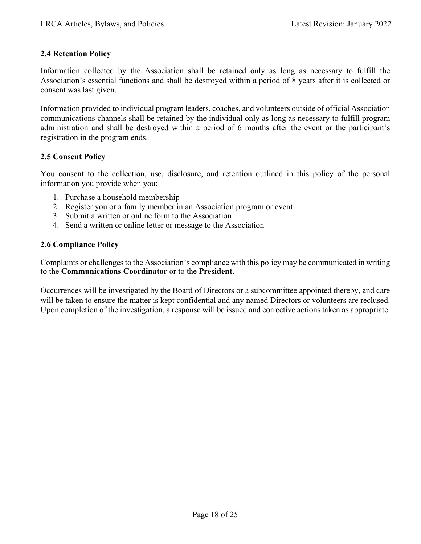### **2.4 Retention Policy**

Information collected by the Association shall be retained only as long as necessary to fulfill the Association's essential functions and shall be destroyed within a period of 8 years after it is collected or consent was last given.

Information provided to individual program leaders, coaches, and volunteers outside of official Association communications channels shall be retained by the individual only as long as necessary to fulfill program administration and shall be destroyed within a period of 6 months after the event or the participant's registration in the program ends.

# **2.5 Consent Policy**

You consent to the collection, use, disclosure, and retention outlined in this policy of the personal information you provide when you:

- 1. Purchase a household membership
- 2. Register you or a family member in an Association program or event
- 3. Submit a written or online form to the Association
- 4. Send a written or online letter or message to the Association

#### **2.6 Compliance Policy**

Complaints or challenges to the Association's compliance with this policy may be communicated in writing to the **Communications Coordinator** or to the **President**.

Occurrences will be investigated by the Board of Directors or a subcommittee appointed thereby, and care will be taken to ensure the matter is kept confidential and any named Directors or volunteers are reclused. Upon completion of the investigation, a response will be issued and corrective actions taken as appropriate.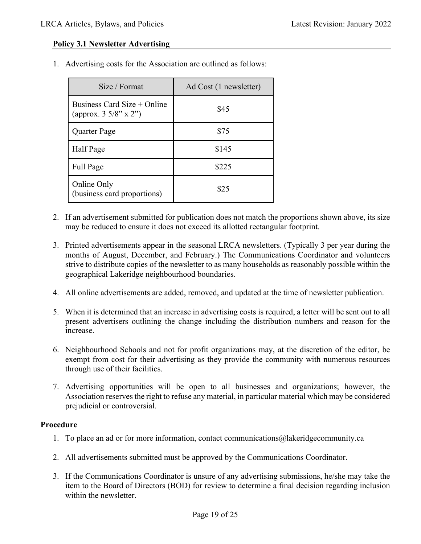#### **Policy 3.1 Newsletter Advertising**

1. Advertising costs for the Association are outlined as follows:

| Size / Format                                                    | Ad Cost (1 newsletter) |
|------------------------------------------------------------------|------------------------|
| Business Card Size $+$ Online<br>(approx. $3\frac{5}{8}$ " x 2") | \$45                   |
| Quarter Page                                                     | \$75                   |
| Half Page                                                        | \$145                  |
| Full Page                                                        | \$225                  |
| Online Only<br>(business card proportions)                       | \$25                   |

- 2. If an advertisement submitted for publication does not match the proportions shown above, its size may be reduced to ensure it does not exceed its allotted rectangular footprint.
- 3. Printed advertisements appear in the seasonal LRCA newsletters. (Typically 3 per year during the months of August, December, and February.) The Communications Coordinator and volunteers strive to distribute copies of the newsletter to as many households as reasonably possible within the geographical Lakeridge neighbourhood boundaries.
- 4. All online advertisements are added, removed, and updated at the time of newsletter publication.
- 5. When it is determined that an increase in advertising costs is required, a letter will be sent out to all present advertisers outlining the change including the distribution numbers and reason for the increase.
- 6. Neighbourhood Schools and not for profit organizations may, at the discretion of the editor, be exempt from cost for their advertising as they provide the community with numerous resources through use of their facilities.
- 7. Advertising opportunities will be open to all businesses and organizations; however, the Association reserves the right to refuse any material, in particular material which may be considered prejudicial or controversial.

#### **Procedure**

- 1. To place an ad or for more information, contact communications@lakeridgecommunity.ca
- 2. All advertisements submitted must be approved by the Communications Coordinator.
- 3. If the Communications Coordinator is unsure of any advertising submissions, he/she may take the item to the Board of Directors (BOD) for review to determine a final decision regarding inclusion within the newsletter.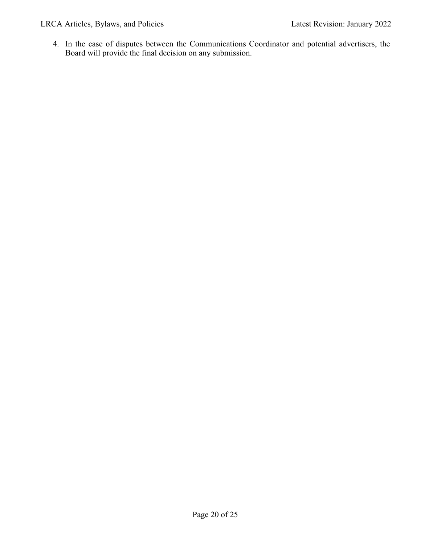LRCA Articles, Bylaws, and Policies Latest Revision: January 2022

4. In the case of disputes between the Communications Coordinator and potential advertisers, the Board will provide the final decision on any submission.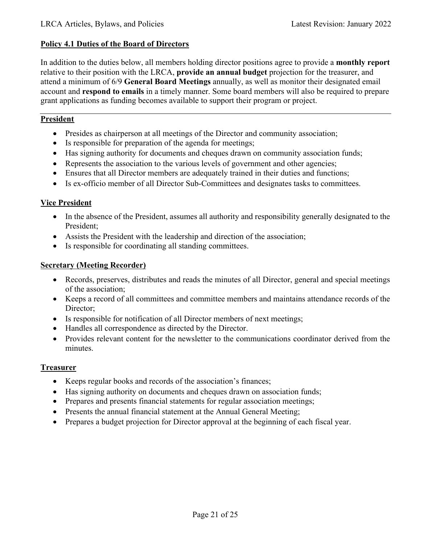#### **Policy 4.1 Duties of the Board of Directors**

In addition to the duties below, all members holding director positions agree to provide a **monthly report** relative to their position with the LRCA, **provide an annual budget** projection for the treasurer, and attend a minimum of 6/9 **General Board Meetings** annually, as well as monitor their designated email account and **respond to emails** in a timely manner. Some board members will also be required to prepare grant applications as funding becomes available to support their program or project.

# **President**

- Presides as chairperson at all meetings of the Director and community association;
- Is responsible for preparation of the agenda for meetings;
- Has signing authority for documents and cheques drawn on community association funds;
- Represents the association to the various levels of government and other agencies;
- Ensures that all Director members are adequately trained in their duties and functions;
- Is ex-officio member of all Director Sub-Committees and designates tasks to committees.

#### **Vice President**

- In the absence of the President, assumes all authority and responsibility generally designated to the President;
- Assists the President with the leadership and direction of the association;
- Is responsible for coordinating all standing committees.

#### **Secretary (Meeting Recorder)**

- Records, preserves, distributes and reads the minutes of all Director, general and special meetings of the association;
- Keeps a record of all committees and committee members and maintains attendance records of the Director;
- Is responsible for notification of all Director members of next meetings;
- Handles all correspondence as directed by the Director.
- Provides relevant content for the newsletter to the communications coordinator derived from the minutes.

#### **Treasurer**

- Keeps regular books and records of the association's finances;
- Has signing authority on documents and cheques drawn on association funds;
- Prepares and presents financial statements for regular association meetings;
- Presents the annual financial statement at the Annual General Meeting;
- Prepares a budget projection for Director approval at the beginning of each fiscal year.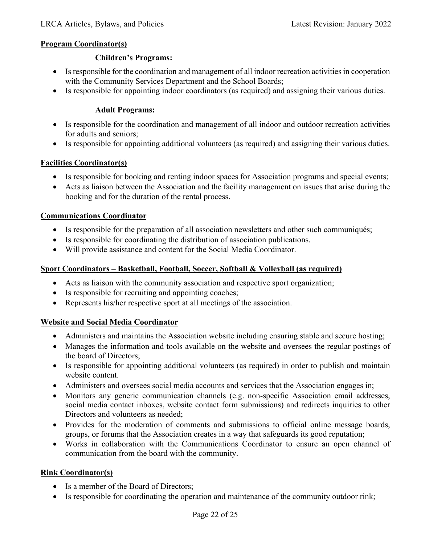#### **Program Coordinator(s)**

#### **Children's Programs:**

- Is responsible for the coordination and management of all indoor recreation activities in cooperation with the Community Services Department and the School Boards;
- Is responsible for appointing indoor coordinators (as required) and assigning their various duties.

### **Adult Programs:**

- Is responsible for the coordination and management of all indoor and outdoor recreation activities for adults and seniors;
- Is responsible for appointing additional volunteers (as required) and assigning their various duties.

#### **Facilities Coordinator(s)**

- Is responsible for booking and renting indoor spaces for Association programs and special events;
- Acts as liaison between the Association and the facility management on issues that arise during the booking and for the duration of the rental process.

#### **Communications Coordinator**

- Is responsible for the preparation of all association newsletters and other such communiqués;
- Is responsible for coordinating the distribution of association publications.
- Will provide assistance and content for the Social Media Coordinator.

# **Sport Coordinators – Basketball, Football, Soccer, Softball & Volleyball (as required)**

- Acts as liaison with the community association and respective sport organization;
- Is responsible for recruiting and appointing coaches;
- Represents his/her respective sport at all meetings of the association.

# **Website and Social Media Coordinator**

- Administers and maintains the Association website including ensuring stable and secure hosting;
- Manages the information and tools available on the website and oversees the regular postings of the board of Directors;
- Is responsible for appointing additional volunteers (as required) in order to publish and maintain website content.
- Administers and oversees social media accounts and services that the Association engages in;
- Monitors any generic communication channels (e.g. non-specific Association email addresses, social media contact inboxes, website contact form submissions) and redirects inquiries to other Directors and volunteers as needed;
- Provides for the moderation of comments and submissions to official online message boards, groups, or forums that the Association creates in a way that safeguards its good reputation;
- Works in collaboration with the Communications Coordinator to ensure an open channel of communication from the board with the community.

# **Rink Coordinator(s)**

- Is a member of the Board of Directors;
- Is responsible for coordinating the operation and maintenance of the community outdoor rink;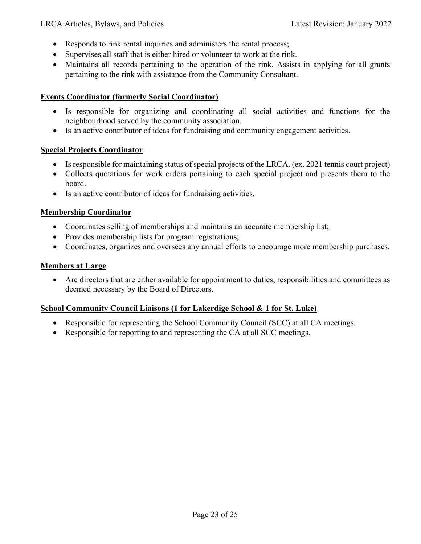- Responds to rink rental inquiries and administers the rental process;
- Supervises all staff that is either hired or volunteer to work at the rink.
- Maintains all records pertaining to the operation of the rink. Assists in applying for all grants pertaining to the rink with assistance from the Community Consultant.

#### **Events Coordinator (formerly Social Coordinator)**

- Is responsible for organizing and coordinating all social activities and functions for the neighbourhood served by the community association.
- Is an active contributor of ideas for fundraising and community engagement activities.

#### **Special Projects Coordinator**

- Is responsible for maintaining status of special projects of the LRCA. (ex. 2021 tennis court project)
- Collects quotations for work orders pertaining to each special project and presents them to the board.
- Is an active contributor of ideas for fundraising activities.

#### **Membership Coordinator**

- Coordinates selling of memberships and maintains an accurate membership list;
- Provides membership lists for program registrations;
- Coordinates, organizes and oversees any annual efforts to encourage more membership purchases.

#### **Members at Large**

• Are directors that are either available for appointment to duties, responsibilities and committees as deemed necessary by the Board of Directors.

# **School Community Council Liaisons (1 for Lakerdige School & 1 for St. Luke)**

- Responsible for representing the School Community Council (SCC) at all CA meetings.
- Responsible for reporting to and representing the CA at all SCC meetings.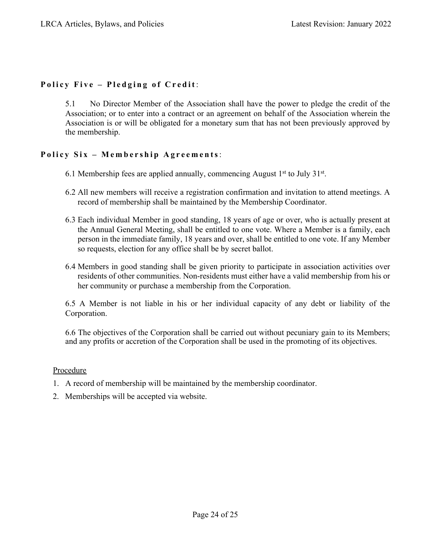# **Policy Five – Pledging of Credit** :

5.1 No Director Member of the Association shall have the power to pledge the credit of the Association; or to enter into a contract or an agreement on behalf of the Association wherein the Association is or will be obligated for a monetary sum that has not been previously approved by the membership.

# **Policy Six – Membership Agreements**:

- 6.1 Membership fees are applied annually, commencing August  $1<sup>st</sup>$  to July  $31<sup>st</sup>$ .
- 6.2 All new members will receive a registration confirmation and invitation to attend meetings. A record of membership shall be maintained by the Membership Coordinator.
- 6.3 Each individual Member in good standing, 18 years of age or over, who is actually present at the Annual General Meeting, shall be entitled to one vote. Where a Member is a family, each person in the immediate family, 18 years and over, shall be entitled to one vote. If any Member so requests, election for any office shall be by secret ballot.
- 6.4 Members in good standing shall be given priority to participate in association activities over residents of other communities. Non-residents must either have a valid membership from his or her community or purchase a membership from the Corporation.

6.5 A Member is not liable in his or her individual capacity of any debt or liability of the Corporation.

6.6 The objectives of the Corporation shall be carried out without pecuniary gain to its Members; and any profits or accretion of the Corporation shall be used in the promoting of its objectives.

#### **Procedure**

- 1. A record of membership will be maintained by the membership coordinator.
- 2. Memberships will be accepted via website.